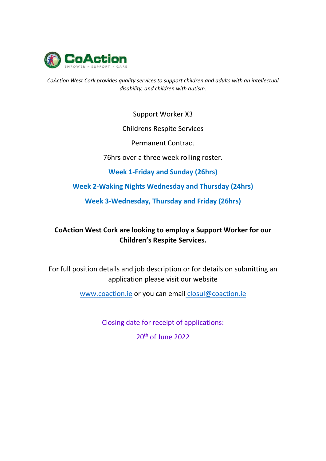

*CoAction West Cork provides quality services to support children and adults with an intellectual disability, and children with autism.*

Support Worker X3

## Childrens Respite Services

Permanent Contract

76hrs over a three week rolling roster.

**Week 1-Friday and Sunday (26hrs)**

**Week 2-Waking Nights Wednesday and Thursday (24hrs)**

**Week 3-Wednesday, Thursday and Friday (26hrs)**

**CoAction West Cork are looking to employ a Support Worker for our Children's Respite Services.**

For full position details and job description or for details on submitting an application please visit our website

[www.coaction.ie](http://www.coaction.ie/) or you can email closul@coaction.ie

Closing date for receipt of applications:

20<sup>th</sup> of June 2022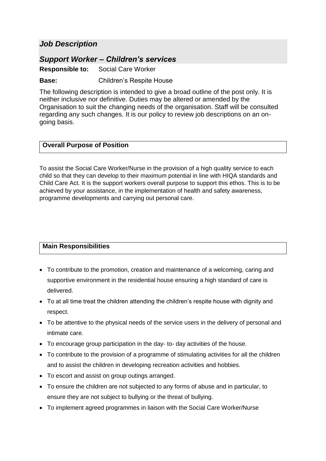# *Job Description*

## *Support Worker – Children's services*

**Responsible to:** Social Care Worker

**Base:** Children's Respite House

The following description is intended to give a broad outline of the post only. It is neither inclusive nor definitive. Duties may be altered or amended by the Organisation to suit the changing needs of the organisation. Staff will be consulted regarding any such changes. It is our policy to review job descriptions on an ongoing basis.

### **Overall Purpose of Position**

To assist the Social Care Worker/Nurse in the provision of a high quality service to each child so that they can develop to their maximum potential in line with HIQA standards and Child Care Act. It is the support workers overall purpose to support this ethos. This is to be achieved by your assistance, in the implementation of health and safety awareness, programme developments and carrying out personal care.

#### **Main Responsibilities**

- To contribute to the promotion, creation and maintenance of a welcoming, caring and supportive environment in the residential house ensuring a high standard of care is delivered.
- To at all time treat the children attending the children's respite house with dignity and respect.
- To be attentive to the physical needs of the service users in the delivery of personal and intimate care.
- To encourage group participation in the day- to- day activities of the house.
- To contribute to the provision of a programme of stimulating activities for all the children and to assist the children in developing recreation activities and hobbies.
- To escort and assist on group outings arranged.
- To ensure the children are not subjected to any forms of abuse and in particular, to ensure they are not subject to bullying or the threat of bullying.
- To implement agreed programmes in liaison with the Social Care Worker/Nurse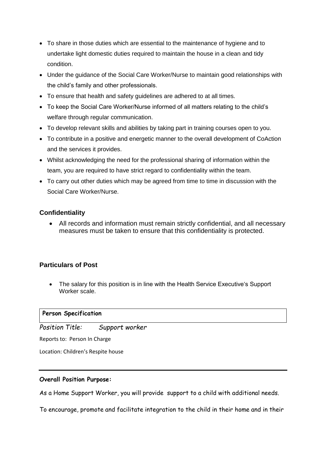- To share in those duties which are essential to the maintenance of hygiene and to undertake light domestic duties required to maintain the house in a clean and tidy condition.
- Under the guidance of the Social Care Worker/Nurse to maintain good relationships with the child's family and other professionals.
- To ensure that health and safety guidelines are adhered to at all times.
- To keep the Social Care Worker/Nurse informed of all matters relating to the child's welfare through regular communication.
- To develop relevant skills and abilities by taking part in training courses open to you.
- To contribute in a positive and energetic manner to the overall development of CoAction and the services it provides.
- Whilst acknowledging the need for the professional sharing of information within the team, you are required to have strict regard to confidentiality within the team.
- To carry out other duties which may be agreed from time to time in discussion with the Social Care Worker/Nurse.

## **Confidentiality**

 All records and information must remain strictly confidential, and all necessary measures must be taken to ensure that this confidentiality is protected.

### **Particulars of Post**

 The salary for this position is in line with the Health Service Executive's Support Worker scale.

### **Person Specification**

*Position Title: Support worker*

Reports to: Person In Charge

Location: Children's Respite house

#### **Overall Position Purpose:**

As a Home Support Worker, you will provide support to a child with additional needs.

To encourage, promote and facilitate integration to the child in their home and in their